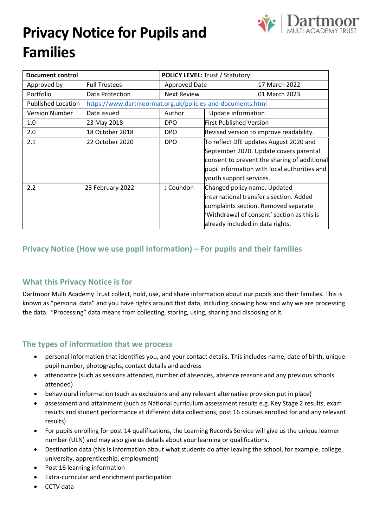# **Privacy Notice for Pupils and Families**



| <b>Document control</b>   |                                                            | <b>POLICY LEVEL: Trust / Statutory</b> |                                         |                                              |
|---------------------------|------------------------------------------------------------|----------------------------------------|-----------------------------------------|----------------------------------------------|
| Approved by               | <b>Full Trustees</b>                                       | <b>Approved Date</b>                   |                                         | 17 March 2022                                |
| Portfolio                 | Data Protection                                            | <b>Next Review</b>                     |                                         | 01 March 2023                                |
| <b>Published Location</b> | https://www.dartmoormat.org.uk/policies-and-documents.html |                                        |                                         |                                              |
| <b>Version Number</b>     | Date issued                                                | Author                                 | Update information                      |                                              |
| 1.0                       | 23 May 2018                                                | <b>DPO</b>                             | <b>First Published Version</b>          |                                              |
| 2.0                       | 18 October 2018                                            | <b>DPO</b>                             | Revised version to improve readability. |                                              |
| 2.1                       | 22 October 2020                                            | <b>DPO</b>                             | To reflect DfE updates August 2020 and  |                                              |
|                           |                                                            |                                        |                                         | September 2020. Update covers parental       |
|                           |                                                            |                                        |                                         | consent to prevent the sharing of additional |
|                           |                                                            |                                        |                                         | pupil information with local authorities and |
|                           |                                                            |                                        | youth support services.                 |                                              |
| 2.2                       | 23 February 2022                                           | J Coundon                              | Changed policy name. Updated            |                                              |
|                           |                                                            |                                        |                                         | linternational transfer s section. Added     |
|                           |                                                            |                                        |                                         | complaints section. Removed separate         |
|                           |                                                            |                                        |                                         | 'Withdrawal of consent' section as this is   |
|                           |                                                            |                                        | already included in data rights.        |                                              |

# **Privacy Notice (How we use pupil information) – For pupils and their families**

# **What this Privacy Notice is for**

Dartmoor Multi Academy Trust collect, hold, use, and share information about our pupils and their families. This is known as "personal data" and you have rights around that data, including knowing how and why we are processing the data. "Processing" data means from collecting, storing, using, sharing and disposing of it.

# **The types of information that we process**

- personal information that identifies you, and your contact details. This includes name, date of birth, unique pupil number, photographs, contact details and address
- attendance (such as sessions attended, number of absences, absence reasons and any previous schools attended)
- behavioural information (such as exclusions and any relevant alternative provision put in place)
- assessment and attainment (such as National curriculum assessment results e.g. Key Stage 2 results, exam results and student performance at different data collections, post 16 courses enrolled for and any relevant results)
- For pupils enrolling for post 14 qualifications, the Learning Records Service will give us the unique learner number (ULN) and may also give us details about your learning or qualifications.
- Destination data (this is information about what students do after leaving the school, for example, college, university, apprenticeship, employment)
- Post 16 learning information
- Extra-curricular and enrichment participation
- CCTV data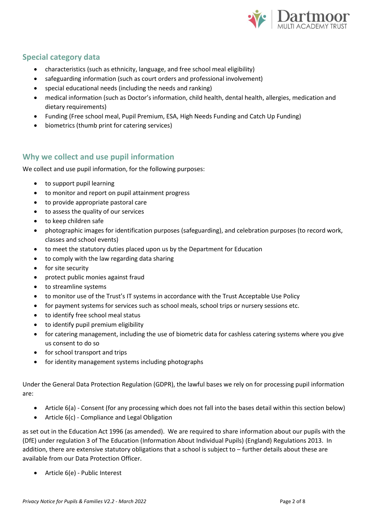

# **Special category data**

- characteristics (such as ethnicity, language, and free school meal eligibility)
- safeguarding information (such as court orders and professional involvement)
- special educational needs (including the needs and ranking)
- medical information (such as Doctor's information, child health, dental health, allergies, medication and dietary requirements)
- Funding (Free school meal, Pupil Premium, ESA, High Needs Funding and Catch Up Funding)
- biometrics (thumb print for catering services)

# **Why we collect and use pupil information**

We collect and use pupil information, for the following purposes:

- to support pupil learning
- to monitor and report on pupil attainment progress
- to provide appropriate pastoral care
- to assess the quality of our services
- to keep children safe
- photographic images for identification purposes (safeguarding), and celebration purposes (to record work, classes and school events)
- to meet the statutory duties placed upon us by the Department for Education
- to comply with the law regarding data sharing
- for site security
- protect public monies against fraud
- to streamline systems
- to monitor use of the Trust's IT systems in accordance with the Trust Acceptable Use Policy
- for payment systems for services such as school meals, school trips or nursery sessions etc.
- to identify free school meal status
- to identify pupil premium eligibility
- for catering management, including the use of biometric data for cashless catering systems where you give us consent to do so
- for school transport and trips
- for identity management systems including photographs

Under the General Data Protection Regulation (GDPR), the lawful bases we rely on for processing pupil information are:

- Article 6(a) Consent (for any processing which does not fall into the bases detail within this section below)
- Article 6(c) Compliance and Legal Obligation

as set out in the Education Act 1996 (as amended). We are required to share information about our pupils with the (DfE) under regulation 3 of The Education (Information About Individual Pupils) (England) Regulations 2013. In addition, there are extensive statutory obligations that a school is subject to – further details about these are available from our Data Protection Officer.

• Article 6(e) - Public Interest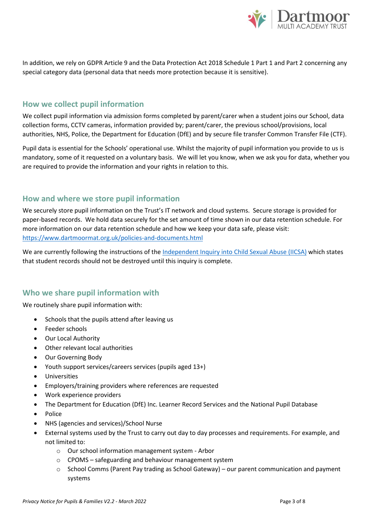

In addition, we rely on GDPR Article 9 and the Data Protection Act 2018 Schedule 1 Part 1 and Part 2 concerning any special category data (personal data that needs more protection because it is sensitive).

# **How we collect pupil information**

We collect pupil information via admission forms completed by parent/carer when a student joins our School, data collection forms, CCTV cameras, information provided by; parent/carer, the previous school/provisions, local authorities, NHS, Police, the Department for Education (DfE) and by secure file transfer Common Transfer File (CTF).

Pupil data is essential for the Schools' operational use. Whilst the majority of pupil information you provide to us is mandatory, some of it requested on a voluntary basis. We will let you know, when we ask you for data, whether you are required to provide the information and your rights in relation to this.

# **How and where we store pupil information**

We securely store pupil information on the Trust's IT network and cloud systems. Secure storage is provided for paper-based records. We hold data securely for the set amount of time shown in our data retention schedule. For more information on our data retention schedule and how we keep your data safe, please visit: <https://www.dartmoormat.org.uk/policies-and-documents.html>

We are currently following the instructions of the [Independent Inquiry into Child Sexual Abuse \(IICSA\)](https://www.iicsa.org.uk/document/guidance-note-retention-instructions-and-data-protection-requirements) which states that student records should not be destroyed until this inquiry is complete.

# **Who we share pupil information with**

We routinely share pupil information with:

- Schools that the pupils attend after leaving us
- Feeder schools
- Our Local Authority
- Other relevant local authorities
- Our Governing Body
- Youth support services/careers services (pupils aged 13+)
- **Universities**
- Employers/training providers where references are requested
- Work experience providers
- The Department for Education (DfE) Inc. Learner Record Services and the National Pupil Database
- Police
- NHS (agencies and services)/School Nurse
- External systems used by the Trust to carry out day to day processes and requirements. For example, and not limited to:
	- o Our school information management system Arbor
	- o CPOMS safeguarding and behaviour management system
	- $\circ$  School Comms (Parent Pay trading as School Gateway) our parent communication and payment systems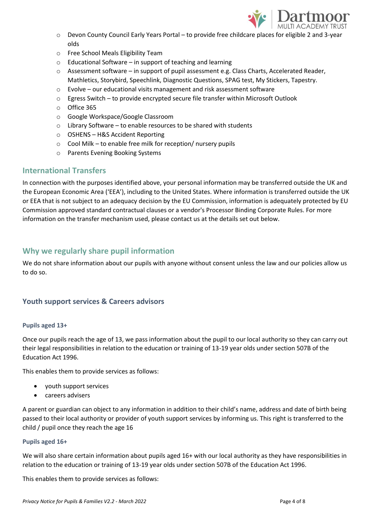

- o Devon County Council Early Years Portal to provide free childcare places for eligible 2 and 3-year olds
- o Free School Meals Eligibility Team
- o Educational Software in support of teaching and learning
- $\circ$  Assessment software in support of pupil assessment e.g. Class Charts, Accelerated Reader, Mathletics, Storybird, Speechlink, Diagnostic Questions, SPAG test, My Stickers, Tapestry.
- o Evolve our educational visits management and risk assessment software
- $\circ$  Egress Switch to provide encrypted secure file transfer within Microsoft Outlook
- o Office 365
- o Google Workspace/Google Classroom
- o Library Software to enable resources to be shared with students
- o OSHENS H&S Accident Reporting
- o Cool Milk to enable free milk for reception/ nursery pupils
- o Parents Evening Booking Systems

# **International Transfers**

In connection with the purposes identified above, your personal information may be transferred outside the UK and the European Economic Area ('EEA'), including to the United States. Where information is transferred outside the UK or EEA that is not subject to an adequacy decision by the EU Commission, information is adequately protected by EU Commission approved standard contractual clauses or a vendor's Processor Binding Corporate Rules. For more information on the transfer mechanism used, please contact us at the details set out below.

# **Why we regularly share pupil information**

We do not share information about our pupils with anyone without consent unless the law and our policies allow us to do so.

#### **Youth support services & Careers advisors**

#### **Pupils aged 13+**

Once our pupils reach the age of 13, we pass information about the pupil to our local authority so they can carry out their legal responsibilities in relation to the education or training of 13-19 year olds under section 507B of the Education Act 1996.

This enables them to provide services as follows:

- youth support services
- careers advisers

A parent or guardian can object to any information in addition to their child's name, address and date of birth being passed to their local authority or provider of youth support services by informing us. This right is transferred to the child / pupil once they reach the age 16

#### **Pupils aged 16+**

We will also share certain information about pupils aged 16+ with our local authority as they have responsibilities in relation to the education or training of 13-19 year olds under section 507B of the Education Act 1996.

This enables them to provide services as follows: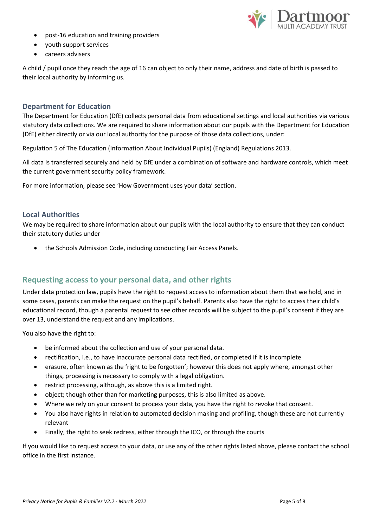

- post-16 education and training providers
- youth support services
- careers advisers

A child / pupil once they reach the age of 16 can object to only their name, address and date of birth is passed to their local authority by informing us.

#### **Department for Education**

The Department for Education (DfE) collects personal data from educational settings and local authorities via various statutory data collections. We are required to share information about our pupils with the Department for Education (DfE) either directly or via our local authority for the purpose of those data collections, under:

Regulation 5 of The Education (Information About Individual Pupils) (England) Regulations 2013.

All data is transferred securely and held by DfE under a combination of software and hardware controls, which meet the current government security policy framework.

For more information, please see 'How Government uses your data' section.

#### **Local Authorities**

We may be required to share information about our pupils with the local authority to ensure that they can conduct their statutory duties under

• the Schools Admission Code, including conducting Fair Access Panels.

# **Requesting access to your personal data, and other rights**

Under data protection law, pupils have the right to request access to information about them that we hold, and in some cases, parents can make the request on the pupil's behalf. Parents also have the right to access their child's educational record, though a parental request to see other records will be subject to the pupil's consent if they are over 13, understand the request and any implications.

You also have the right to:

- be informed about the collection and use of your personal data.
- rectification, i.e., to have inaccurate personal data rectified, or completed if it is incomplete
- erasure, often known as the 'right to be forgotten'; however this does not apply where, amongst other things, processing is necessary to comply with a legal obligation.
- restrict processing, although, as above this is a limited right.
- object; though other than for marketing purposes, this is also limited as above.
- Where we rely on your consent to process your data, you have the right to revoke that consent.
- You also have rights in relation to automated decision making and profiling, though these are not currently relevant
- Finally, the right to seek redress, either through the ICO, or through the courts

If you would like to request access to your data, or use any of the other rights listed above, please contact the school office in the first instance.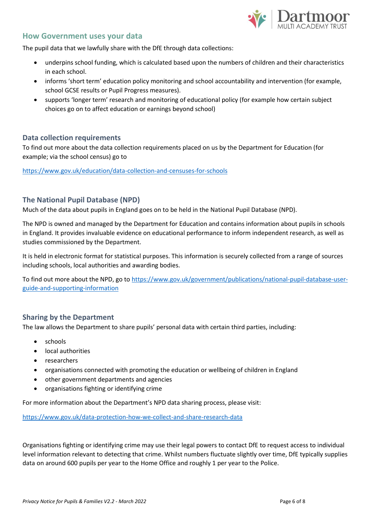

#### **How Government uses your data**

The pupil data that we lawfully share with the DfE through data collections:

- underpins school funding, which is calculated based upon the numbers of children and their characteristics in each school.
- informs 'short term' education policy monitoring and school accountability and intervention (for example, school GCSE results or Pupil Progress measures).
- supports 'longer term' research and monitoring of educational policy (for example how certain subject choices go on to affect education or earnings beyond school)

#### **Data collection requirements**

To find out more about the data collection requirements placed on us by the Department for Education (for example; via the school census) go to

<https://www.gov.uk/education/data-collection-and-censuses-for-schools>

#### **The National Pupil Database (NPD)**

Much of the data about pupils in England goes on to be held in the National Pupil Database (NPD).

The NPD is owned and managed by the Department for Education and contains information about pupils in schools in England. It provides invaluable evidence on educational performance to inform independent research, as well as studies commissioned by the Department.

It is held in electronic format for statistical purposes. This information is securely collected from a range of sources including schools, local authorities and awarding bodies.

To find out more about the NPD, go to [https://www.gov.uk/government/publications/national-pupil-database-user](https://www.gov.uk/government/publications/national-pupil-database-user-guide-and-supporting-information)[guide-and-supporting-information](https://www.gov.uk/government/publications/national-pupil-database-user-guide-and-supporting-information)

#### **Sharing by the Department**

The law allows the Department to share pupils' personal data with certain third parties, including:

- schools
- local authorities
- researchers
- organisations connected with promoting the education or wellbeing of children in England
- other government departments and agencies
- organisations fighting or identifying crime

For more information about the Department's NPD data sharing process, please visit:

<https://www.gov.uk/data-protection-how-we-collect-and-share-research-data>

Organisations fighting or identifying crime may use their legal powers to contact DfE to request access to individual level information relevant to detecting that crime. Whilst numbers fluctuate slightly over time, DfE typically supplies data on around 600 pupils per year to the Home Office and roughly 1 per year to the Police.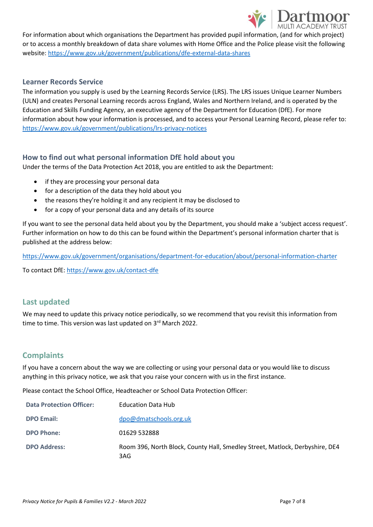

For information about which organisations the Department has provided pupil information, (and for which project) or to access a monthly breakdown of data share volumes with Home Office and the Police please visit the following website[: https://www.gov.uk/government/publications/dfe-external-data-shares](https://www.gov.uk/government/publications/dfe-external-data-shares)

#### **Learner Records Service**

The information you supply is used by the Learning Records Service (LRS). The LRS issues Unique Learner Numbers (ULN) and creates Personal Learning records across England, Wales and Northern Ireland, and is operated by the Education and Skills Funding Agency, an executive agency of the Department for Education (DfE). For more information about how your information is processed, and to access your Personal Learning Record, please refer to: <https://www.gov.uk/government/publications/lrs-privacy-notices>

### **How to find out what personal information DfE hold about you**

Under the terms of the Data Protection Act 2018, you are entitled to ask the Department:

- if they are processing your personal data
- for a description of the data they hold about you
- the reasons they're holding it and any recipient it may be disclosed to
- for a copy of your personal data and any details of its source

If you want to see the personal data held about you by the Department, you should make a 'subject access request'. Further information on how to do this can be found within the Department's personal information charter that is published at the address below:

<https://www.gov.uk/government/organisations/department-for-education/about/personal-information-charter>

To contact DfE[: https://www.gov.uk/contact-dfe](https://www.gov.uk/contact-dfe)

# **Last updated**

We may need to update this privacy notice periodically, so we recommend that you revisit this information from time to time. This version was last updated on 3<sup>rd</sup> March 2022.

# **Complaints**

If you have a concern about the way we are collecting or using your personal data or you would like to discuss anything in this privacy notice, we ask that you raise your concern with us in the first instance.

Please contact the School Office, Headteacher or School Data Protection Officer:

| <b>Data Protection Officer:</b> | <b>Education Data Hub</b>                                                           |
|---------------------------------|-------------------------------------------------------------------------------------|
| <b>DPO Email:</b>               | dpo@dmatschools.org.uk                                                              |
| <b>DPO Phone:</b>               | 01629 532888                                                                        |
| <b>DPO Address:</b>             | Room 396, North Block, County Hall, Smedley Street, Matlock, Derbyshire, DE4<br>3AG |